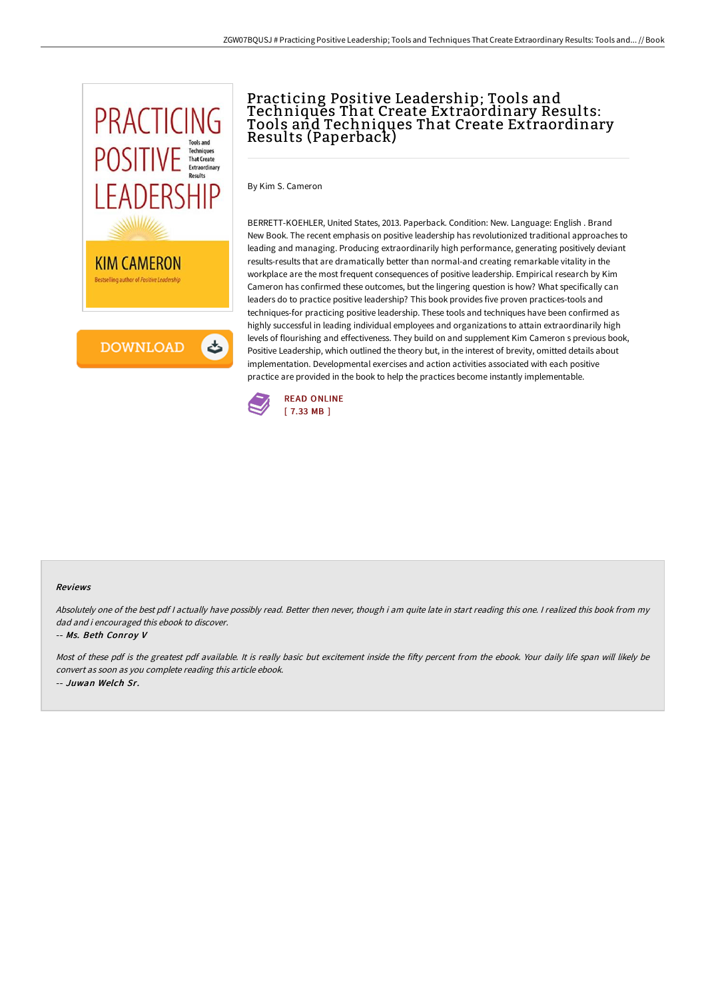

## Practicing Positive Leadership; Tools and Techniques That Create Extraordinary Results: Tools and Techniques That Create Extraordinary Results (Paperback)

By Kim S. Cameron

BERRETT-KOEHLER, United States, 2013. Paperback. Condition: New. Language: English . Brand New Book. The recent emphasis on positive leadership has revolutionized traditional approaches to leading and managing. Producing extraordinarily high performance, generating positively deviant results-results that are dramatically better than normal-and creating remarkable vitality in the workplace are the most frequent consequences of positive leadership. Empirical research by Kim Cameron has confirmed these outcomes, but the lingering question is how? What specifically can leaders do to practice positive leadership? This book provides five proven practices-tools and techniques-for practicing positive leadership. These tools and techniques have been confirmed as highly successful in leading individual employees and organizations to attain extraordinarily high levels of flourishing and effectiveness. They build on and supplement Kim Cameron s previous book, Positive Leadership, which outlined the theory but, in the interest of brevity, omitted details about implementation. Developmental exercises and action activities associated with each positive practice are provided in the book to help the practices become instantly implementable.



## Reviews

Absolutely one of the best pdf I actually have possibly read. Better then never, though i am quite late in start reading this one. I realized this book from my dad and i encouraged this ebook to discover.

## -- Ms. Beth Conroy V

Most of these pdf is the greatest pdf available. It is really basic but excitement inside the fifty percent from the ebook. Your daily life span will likely be convert as soon as you complete reading this article ebook. -- Juwan Welch Sr.